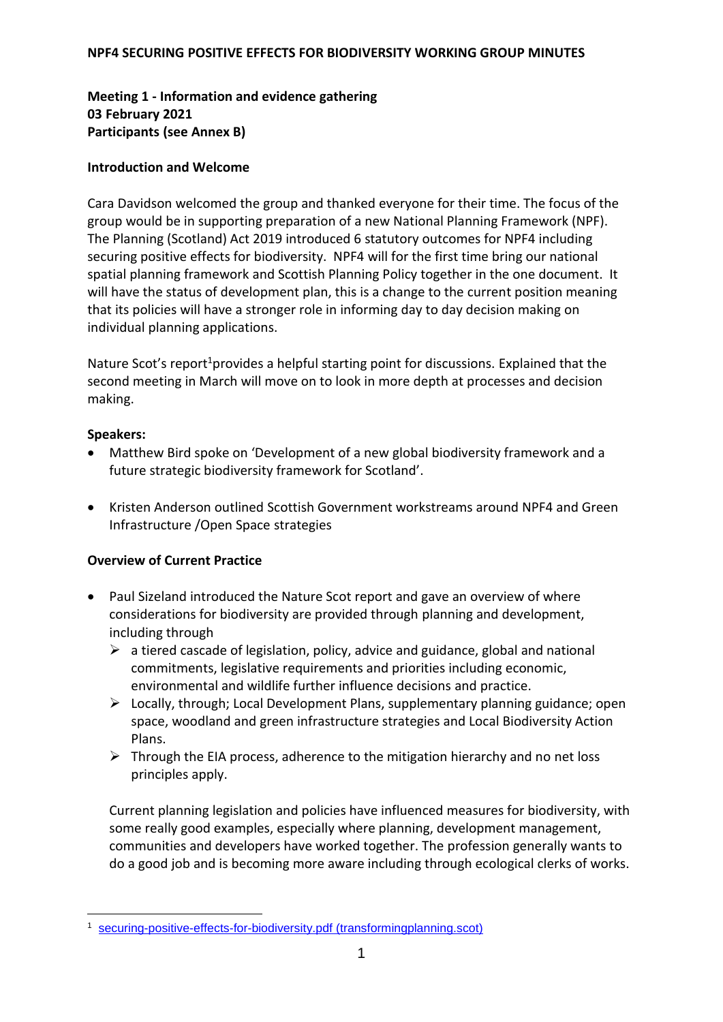# **Meeting 1 - Information and evidence gathering 03 February 2021 Participants (see Annex B)**

### **Introduction and Welcome**

Cara Davidson welcomed the group and thanked everyone for their time. The focus of the group would be in supporting preparation of a new National Planning Framework (NPF). The Planning (Scotland) Act 2019 introduced 6 statutory outcomes for NPF4 including securing positive effects for biodiversity. NPF4 will for the first time bring our national spatial planning framework and Scottish Planning Policy together in the one document. It will have the status of development plan, this is a change to the current position meaning that its policies will have a stronger role in informing day to day decision making on individual planning applications.

Nature Scot's report<sup>1</sup> provides a helpful starting point for discussions. Explained that the second meeting in March will move on to look in more depth at processes and decision making.

## **Speakers:**

- Matthew Bird spoke on 'Development of a new global biodiversity framework and a future strategic biodiversity framework for Scotland'.
- Kristen Anderson outlined Scottish Government workstreams around NPF4 and Green Infrastructure /Open Space strategies

# **Overview of Current Practice**

- Paul Sizeland introduced the Nature Scot report and gave an overview of where considerations for biodiversity are provided through planning and development, including through
	- $\triangleright$  a tiered cascade of legislation, policy, advice and guidance, global and national commitments, legislative requirements and priorities including economic, environmental and wildlife further influence decisions and practice.
	- $\triangleright$  Locally, through; Local Development Plans, supplementary planning guidance; open space, woodland and green infrastructure strategies and Local Biodiversity Action Plans.
	- $\triangleright$  Through the EIA process, adherence to the mitigation hierarchy and no net loss principles apply.

Current planning legislation and policies have influenced measures for biodiversity, with some really good examples, especially where planning, development management, communities and developers have worked together. The profession generally wants to do a good job and is becoming more aware including through ecological clerks of works.

<sup>1</sup> 1 [securing-positive-effects-for-biodiversity.pdf \(transformingplanning.scot\)](https://www.transformingplanning.scot/media/2131/securing-positive-effects-for-biodiversity.pdf)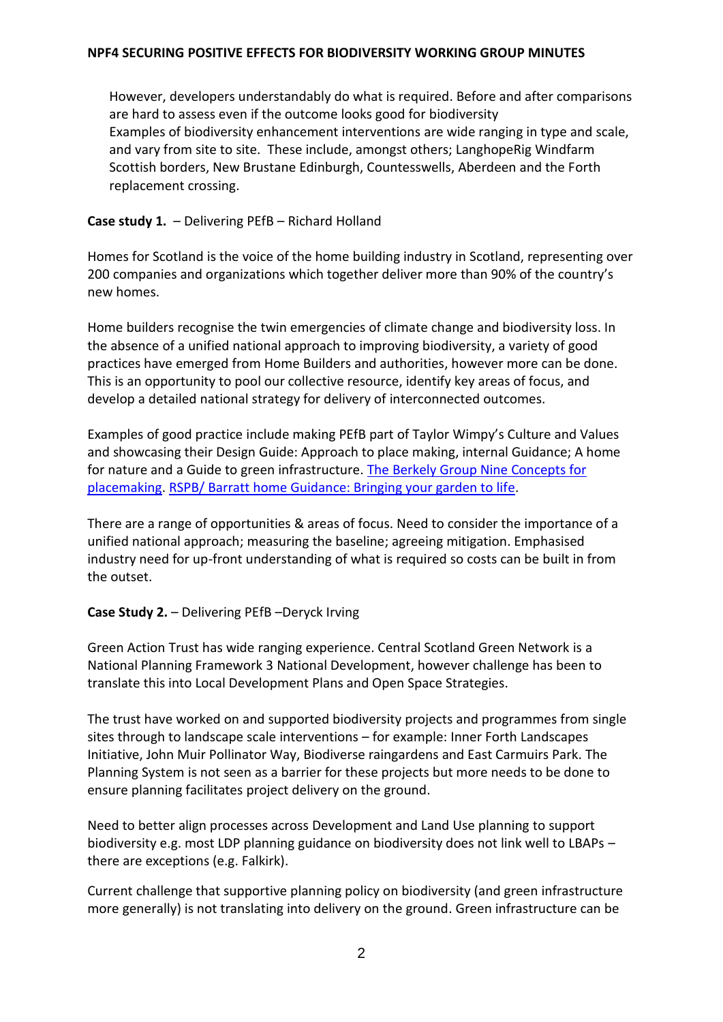However, developers understandably do what is required. Before and after comparisons are hard to assess even if the outcome looks good for biodiversity Examples of biodiversity enhancement interventions are wide ranging in type and scale, and vary from site to site. These include, amongst others; LanghopeRig Windfarm Scottish borders, New Brustane Edinburgh, Countesswells, Aberdeen and the Forth replacement crossing.

# **Case study 1.** – Delivering PEfB – Richard Holland

Homes for Scotland is the voice of the home building industry in Scotland, representing over 200 companies and organizations which together deliver more than 90% of the country's new homes.

Home builders recognise the twin emergencies of climate change and biodiversity loss. In the absence of a unified national approach to improving biodiversity, a variety of good practices have emerged from Home Builders and authorities, however more can be done. This is an opportunity to pool our collective resource, identify key areas of focus, and develop a detailed national strategy for delivery of interconnected outcomes.

Examples of good practice include making PEfB part of Taylor Wimpy's Culture and Values and showcasing their Design Guide: Approach to place making, internal Guidance; A home for nature and a Guide to green infrastructure. [The Berkely Group Nine Concepts for](https://www.berkeleygroup.co.uk/media/pdf/a/n/The_Nine_Concepts_-_Making_space_for_nature_and_beauty.pdf)  [placemaking.](https://www.berkeleygroup.co.uk/media/pdf/a/n/The_Nine_Concepts_-_Making_space_for_nature_and_beauty.pdf) [RSPB/ Barratt home Guidance: Bringing your garden to life.](https://www.rspb.org.uk/globalassets/downloads/documents/gardening-guide/001-barratt-garden-guide-final.pdf)

There are a range of opportunities & areas of focus. Need to consider the importance of a unified national approach; measuring the baseline; agreeing mitigation. Emphasised industry need for up-front understanding of what is required so costs can be built in from the outset.

# **Case Study 2.** – Delivering PEfB –Deryck Irving

Green Action Trust has wide ranging experience. Central Scotland Green Network is a National Planning Framework 3 National Development, however challenge has been to translate this into Local Development Plans and Open Space Strategies.

The trust have worked on and supported biodiversity projects and programmes from single sites through to landscape scale interventions – for example: Inner Forth Landscapes Initiative, John Muir Pollinator Way, Biodiverse raingardens and East Carmuirs Park. The Planning System is not seen as a barrier for these projects but more needs to be done to ensure planning facilitates project delivery on the ground.

Need to better align processes across Development and Land Use planning to support biodiversity e.g. most LDP planning guidance on biodiversity does not link well to LBAPs – there are exceptions (e.g. Falkirk).

Current challenge that supportive planning policy on biodiversity (and green infrastructure more generally) is not translating into delivery on the ground. Green infrastructure can be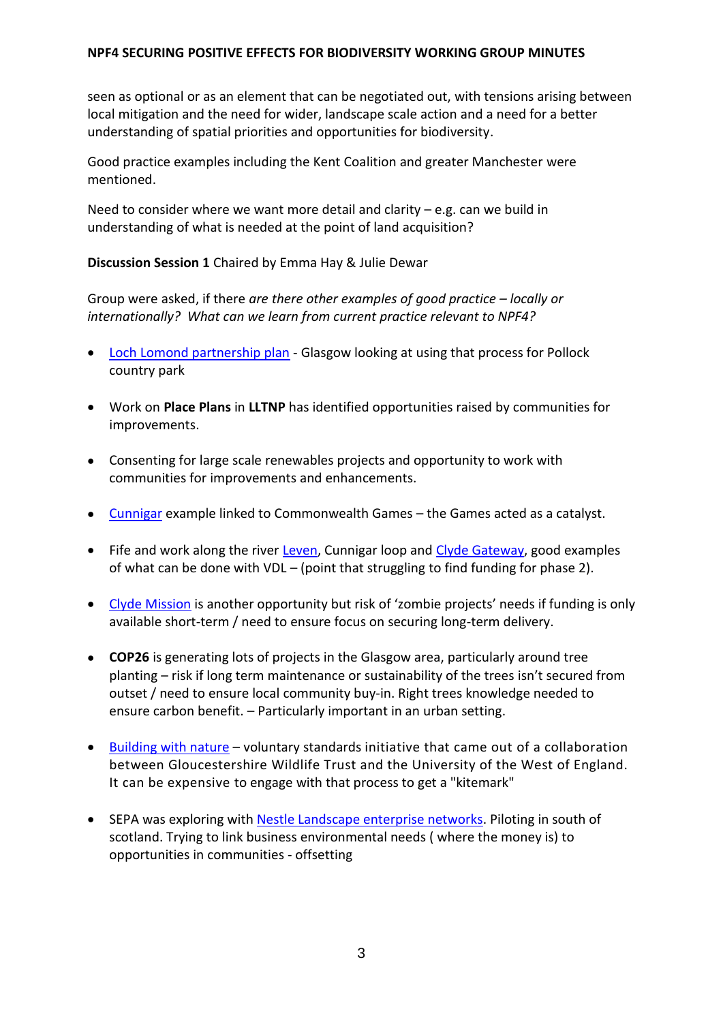seen as optional or as an element that can be negotiated out, with tensions arising between local mitigation and the need for wider, landscape scale action and a need for a better understanding of spatial priorities and opportunities for biodiversity.

Good practice examples including the Kent Coalition and greater Manchester were mentioned.

Need to consider where we want more detail and clarity – e.g. can we build in understanding of what is needed at the point of land acquisition?

## **Discussion Session 1** Chaired by Emma Hay & Julie Dewar

Group were asked, if there *are there other examples of good practice – locally or internationally? What can we learn from current practice relevant to NPF4?*

- [Loch Lomond partnership plan](https://www.lochlomond-trossachs.org/park-authority/publications/national-park-partnership-plans/) Glasgow looking at using that process for Pollock country park
- Work on **Place Plans** in **LLTNP** has identified opportunities raised by communities for improvements.
- Consenting for large scale renewables projects and opportunity to work with communities for improvements and enhancements.
- [Cunnigar](https://www.visitscotland.com/info/see-do/cuningar-loop-woodland-park-p1498501) example linked to Commonwealth Games the Games acted as a catalyst.
- Fife and work along the river [Leven,](https://www.sepa.org.uk/media/456676/2ppa5leaflet.pdf) Cunnigar loop and Clyde [Gateway,](http://www.clydegateway.com/latest-news/) good examples of what can be done with VDL – (point that struggling to find funding for phase 2).
- [Clyde Mission](https://www.gov.scot/publications/clyde-mission/) is another opportunity but risk of 'zombie projects' needs if funding is only available short-term / need to ensure focus on securing long-term delivery.
- **COP26** is generating lots of projects in the Glasgow area, particularly around tree planting – risk if long term maintenance or sustainability of the trees isn't secured from outset / need to ensure local community buy-in. Right trees knowledge needed to ensure carbon benefit. – Particularly important in an urban setting.
- [Building with nature](https://www.buildingwithnature.org.uk/about) voluntary standards initiative that came out of a collaboration between Gloucestershire Wildlife Trust and the University of the West of England. It can be expensive to engage with that process to get a "kitemark"
- SEPA was exploring with [Nestle Landscape enterprise networks.](https://media.sepa.org.uk/media-releases/2020/scottish-environment-protection-agency-sepa-signs-sustainable-growth-agreement-with-nestl%C3%A9-uk-and-ireland.aspx) Piloting in south of scotland. Trying to link business environmental needs ( where the money is) to opportunities in communities - offsetting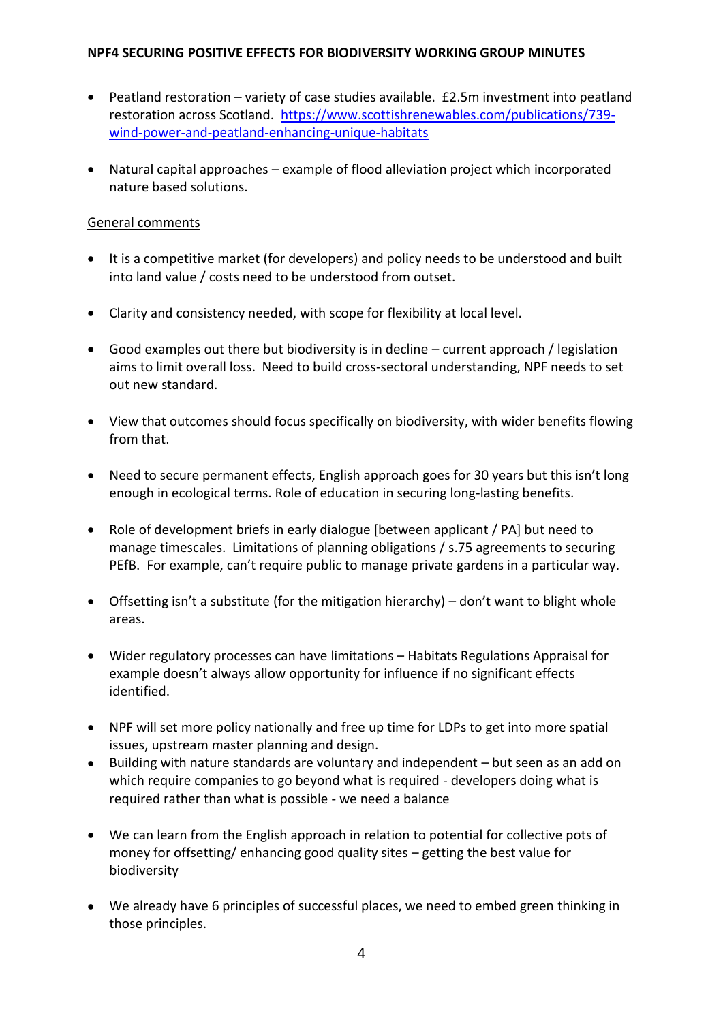- Peatland restoration variety of case studies available. £2.5m investment into peatland restoration across Scotland. [https://www.scottishrenewables.com/publications/739](https://www.scottishrenewables.com/publications/739-wind-power-and-peatland-enhancing-unique-habitats) [wind-power-and-peatland-enhancing-unique-habitats](https://www.scottishrenewables.com/publications/739-wind-power-and-peatland-enhancing-unique-habitats)
- Natural capital approaches example of flood alleviation project which incorporated nature based solutions.

## General comments

- It is a competitive market (for developers) and policy needs to be understood and built into land value / costs need to be understood from outset.
- Clarity and consistency needed, with scope for flexibility at local level.
- Good examples out there but biodiversity is in decline current approach / legislation aims to limit overall loss. Need to build cross-sectoral understanding, NPF needs to set out new standard.
- View that outcomes should focus specifically on biodiversity, with wider benefits flowing from that.
- Need to secure permanent effects, English approach goes for 30 years but this isn't long enough in ecological terms. Role of education in securing long-lasting benefits.
- Role of development briefs in early dialogue [between applicant / PA] but need to manage timescales. Limitations of planning obligations / s.75 agreements to securing PEfB. For example, can't require public to manage private gardens in a particular way.
- Offsetting isn't a substitute (for the mitigation hierarchy) don't want to blight whole areas.
- Wider regulatory processes can have limitations Habitats Regulations Appraisal for example doesn't always allow opportunity for influence if no significant effects identified.
- NPF will set more policy nationally and free up time for LDPs to get into more spatial issues, upstream master planning and design.
- Building with nature standards are voluntary and independent but seen as an add on which require companies to go beyond what is required - developers doing what is required rather than what is possible - we need a balance
- We can learn from the English approach in relation to potential for collective pots of money for offsetting/ enhancing good quality sites – getting the best value for biodiversity
- We already have 6 principles of successful places, we need to embed green thinking in those principles.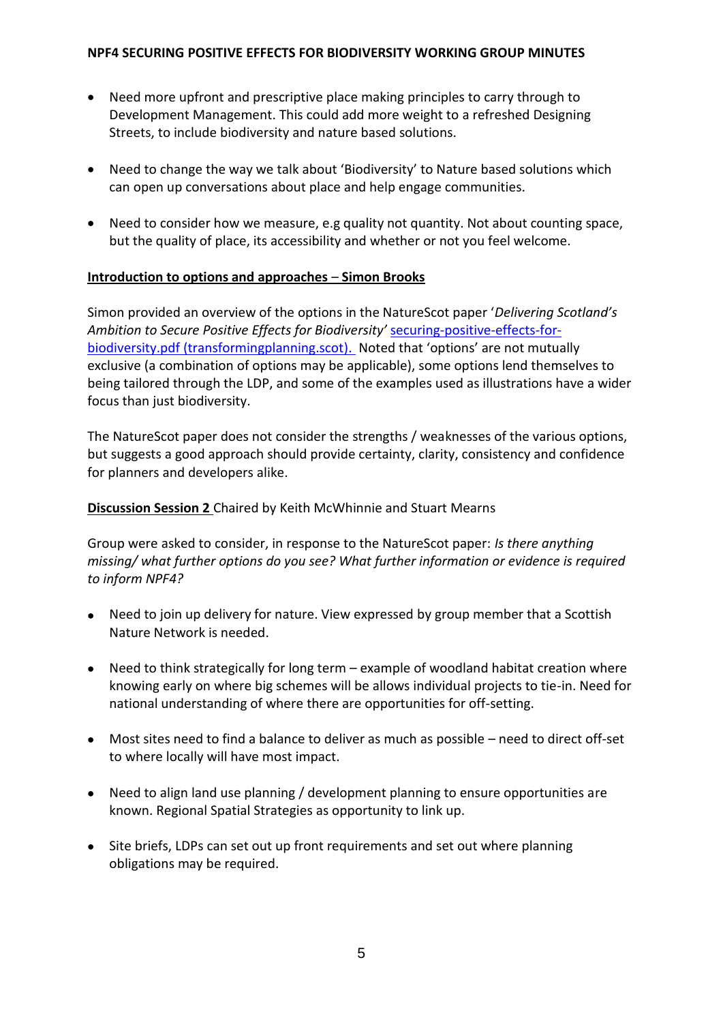- Need more upfront and prescriptive place making principles to carry through to Development Management. This could add more weight to a refreshed Designing Streets, to include biodiversity and nature based solutions.
- Need to change the way we talk about 'Biodiversity' to Nature based solutions which can open up conversations about place and help engage communities.
- Need to consider how we measure, e.g quality not quantity. Not about counting space, but the quality of place, its accessibility and whether or not you feel welcome.

## **Introduction to options and approaches** – **Simon Brooks**

Simon provided an overview of the options in the NatureScot paper '*Delivering Scotland's Ambition to Secure Positive Effects for Biodiversity'* [securing-positive-effects-for](https://www.transformingplanning.scot/media/2131/securing-positive-effects-for-biodiversity.pdf)[biodiversity.pdf \(transformingplanning.scot\).](https://www.transformingplanning.scot/media/2131/securing-positive-effects-for-biodiversity.pdf) Noted that 'options' are not mutually exclusive (a combination of options may be applicable), some options lend themselves to being tailored through the LDP, and some of the examples used as illustrations have a wider focus than just biodiversity.

The NatureScot paper does not consider the strengths / weaknesses of the various options, but suggests a good approach should provide certainty, clarity, consistency and confidence for planners and developers alike.

## **Discussion Session 2** Chaired by Keith McWhinnie and Stuart Mearns

Group were asked to consider, in response to the NatureScot paper: *Is there anything missing/ what further options do you see? What further information or evidence is required to inform NPF4?*

- Need to join up delivery for nature. View expressed by group member that a Scottish Nature Network is needed.
- Need to think strategically for long term example of woodland habitat creation where knowing early on where big schemes will be allows individual projects to tie-in. Need for national understanding of where there are opportunities for off-setting.
- Most sites need to find a balance to deliver as much as possible need to direct off-set to where locally will have most impact.
- Need to align land use planning / development planning to ensure opportunities are known. Regional Spatial Strategies as opportunity to link up.
- Site briefs, LDPs can set out up front requirements and set out where planning obligations may be required.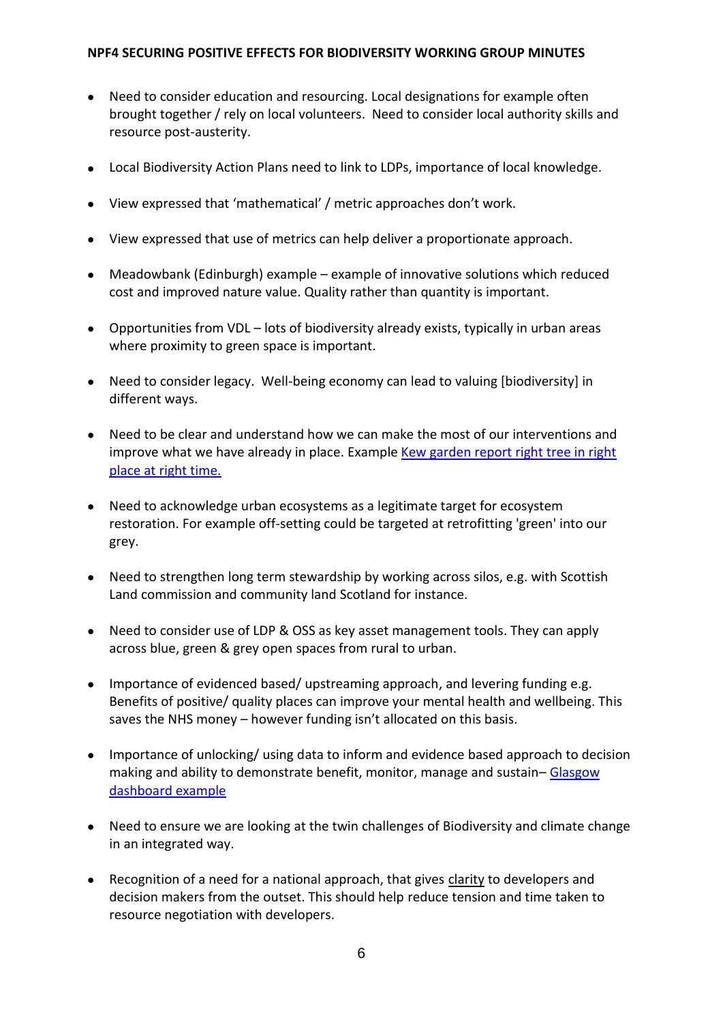- Need to consider education and resourcing. Local designations for example often brought together / rely on local volunteers. Need to consider local authority skills and resource post-austerity.
- Local Biodiversity Action Plans need to link to LDPs, importance of local knowledge.
- View expressed that 'mathematical' / metric approaches don't work.
- View expressed that use of metrics can help deliver a proportionate approach.
- Meadowbank (Edinburgh) example example of innovative solutions which reduced cost and improved nature value. Quality rather than quantity is important.
- Opportunities from VDL lots of biodiversity already exists, typically in urban areas where proximity to green space is important.
- Need to consider legacy. Well-being economy can lead to valuing [biodiversity] in different ways.
- Need to be clear and understand how we can make the most of our interventions and improve what we have already in place. Example [Kew garden report right tree in right](https://www.kew.org/about-us/press-media/10-golden-rules-for-restoring-forests)  [place at right time.](https://www.kew.org/about-us/press-media/10-golden-rules-for-restoring-forests)
- Need to acknowledge urban ecosystems as a legitimate target for ecosystem restoration. For example off-setting could be targeted at retrofitting 'green' into our grey.
- Need to strengthen long term stewardship by working across silos, e.g. with Scottish Land commission and community land Scotland for instance.
- Need to consider use of LDP & OSS as key asset management tools. They can apply across blue, green & grey open spaces from rural to urban.
- Importance of evidenced based/ upstreaming approach, and levering funding e.g. Benefits of positive/ quality places can improve your mental health and wellbeing. This saves the NHS money – however funding isn't allocated on this basis.
- Importance of unlocking/ using data to inform and evidence based approach to decision making and ability to demonstrate benefit, monitor, manage and sustain– Glasgow [dashboard example](https://glasgowgis.maps.arcgis.com/apps/dashboards/d11c42a0a9d2416ba231392e6798e0ba)
- Need to ensure we are looking at the twin challenges of Biodiversity and climate change in an integrated way.
- Recognition of a need for a national approach, that gives clarity to developers and decision makers from the outset. This should help reduce tension and time taken to resource negotiation with developers.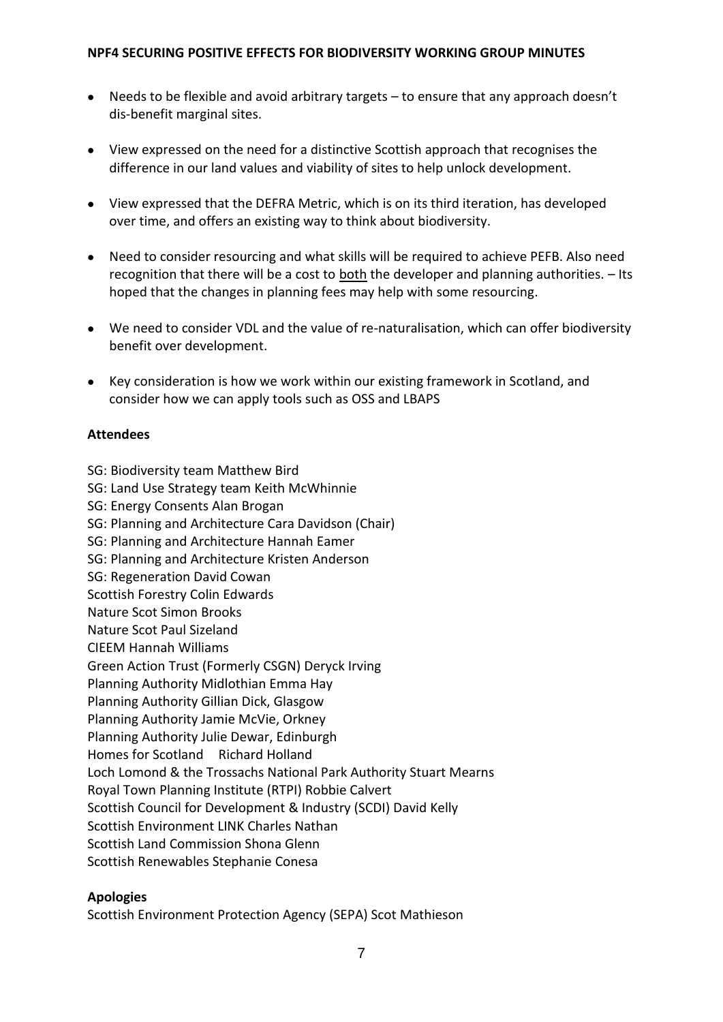- Needs to be flexible and avoid arbitrary targets to ensure that any approach doesn't dis-benefit marginal sites.
- View expressed on the need for a distinctive Scottish approach that recognises the difference in our land values and viability of sites to help unlock development.
- View expressed that the DEFRA Metric, which is on its third iteration, has developed over time, and offers an existing way to think about biodiversity.
- Need to consider resourcing and what skills will be required to achieve PEFB. Also need recognition that there will be a cost to both the developer and planning authorities. – Its hoped that the changes in planning fees may help with some resourcing.
- We need to consider VDL and the value of re-naturalisation, which can offer biodiversity benefit over development.
- Key consideration is how we work within our existing framework in Scotland, and consider how we can apply tools such as OSS and LBAPS

# **Attendees**

- SG: Biodiversity team Matthew Bird
- SG: Land Use Strategy team Keith McWhinnie
- SG: Energy Consents Alan Brogan
- SG: Planning and Architecture Cara Davidson (Chair)
- SG: Planning and Architecture Hannah Eamer
- SG: Planning and Architecture Kristen Anderson
- SG: Regeneration David Cowan
- Scottish Forestry Colin Edwards
- Nature Scot Simon Brooks
- Nature Scot Paul Sizeland
- CIEEM Hannah Williams
- Green Action Trust (Formerly CSGN) Deryck Irving
- Planning Authority Midlothian Emma Hay
- Planning Authority Gillian Dick, Glasgow
- Planning Authority Jamie McVie, Orkney
- Planning Authority Julie Dewar, Edinburgh
- Homes for Scotland Richard Holland
- Loch Lomond & the Trossachs National Park Authority Stuart Mearns
- Royal Town Planning Institute (RTPI) Robbie Calvert
- Scottish Council for Development & Industry (SCDI) David Kelly
- Scottish Environment LINK Charles Nathan
- Scottish Land Commission Shona Glenn
- Scottish Renewables Stephanie Conesa

### **Apologies**

Scottish Environment Protection Agency (SEPA) Scot Mathieson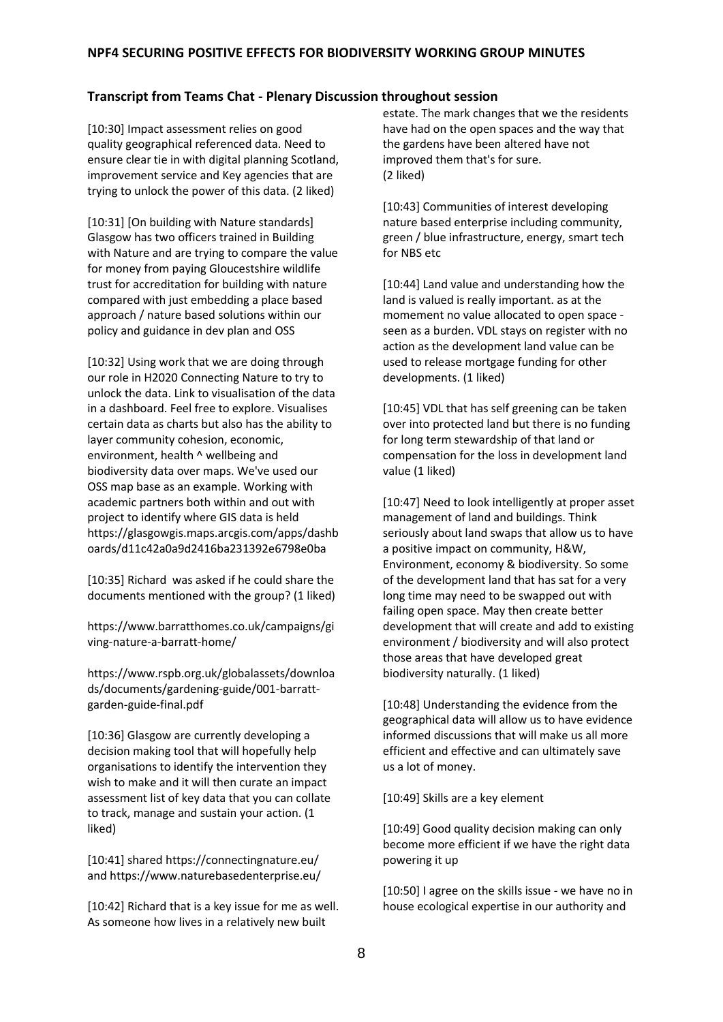#### **Transcript from Teams Chat - Plenary Discussion throughout session**

[10:30] Impact assessment relies on good quality geographical referenced data. Need to ensure clear tie in with digital planning Scotland, improvement service and Key agencies that are trying to unlock the power of this data. (2 liked)

[10:31] [On building with Nature standards] Glasgow has two officers trained in Building with Nature and are trying to compare the value for money from paying Gloucestshire wildlife trust for accreditation for building with nature compared with just embedding a place based approach / nature based solutions within our policy and guidance in dev plan and OSS

[10:32] Using work that we are doing through our role in H2020 Connecting Nature to try to unlock the data. Link to visualisation of the data in a dashboard. Feel free to explore. Visualises certain data as charts but also has the ability to layer community cohesion, economic, environment, health ^ wellbeing and biodiversity data over maps. We've used our OSS map base as an example. Working with academic partners both within and out with project to identify where GIS data is held [https://glasgowgis.maps.arcgis.com/apps/dashb](https://glasgowgis.maps.arcgis.com/apps/dashboards/d11c42a0a9d2416ba231392e6798e0ba) [oards/d11c42a0a9d2416ba231392e6798e0ba](https://glasgowgis.maps.arcgis.com/apps/dashboards/d11c42a0a9d2416ba231392e6798e0ba)

[10:35] Richard was asked if he could share the documents mentioned with the group? (1 liked)

[https://www.barratthomes.co.uk/campaigns/gi](https://www.barratthomes.co.uk/campaigns/giving-nature-a-barratt-home/) [ving-nature-a-barratt-home/](https://www.barratthomes.co.uk/campaigns/giving-nature-a-barratt-home/)

[https://www.rspb.org.uk/globalassets/downloa](https://www.rspb.org.uk/globalassets/downloads/documents/gardening-guide/001-barratt-garden-guide-final.pdf) [ds/documents/gardening-guide/001-barratt](https://www.rspb.org.uk/globalassets/downloads/documents/gardening-guide/001-barratt-garden-guide-final.pdf)[garden-guide-final.pdf](https://www.rspb.org.uk/globalassets/downloads/documents/gardening-guide/001-barratt-garden-guide-final.pdf)

[10:36] Glasgow are currently developing a decision making tool that will hopefully help organisations to identify the intervention they wish to make and it will then curate an impact assessment list of key data that you can collate to track, manage and sustain your action. (1 liked)

[10:41] share[d https://connectingnature.eu/](https://connectingnature.eu/) an[d https://www.naturebasedenterprise.eu/](https://www.naturebasedenterprise.eu/)

[10:42] Richard that is a key issue for me as well. As someone how lives in a relatively new built

estate. The mark changes that we the residents have had on the open spaces and the way that the gardens have been altered have not improved them that's for sure. (2 liked)

[10:43] Communities of interest developing nature based enterprise including community, green / blue infrastructure, energy, smart tech for NBS etc

[10:44] Land value and understanding how the land is valued is really important. as at the momement no value allocated to open space seen as a burden. VDL stays on register with no action as the development land value can be used to release mortgage funding for other developments. (1 liked)

[10:45] VDL that has self greening can be taken over into protected land but there is no funding for long term stewardship of that land or compensation for the loss in development land value (1 liked)

[10:47] Need to look intelligently at proper asset management of land and buildings. Think seriously about land swaps that allow us to have a positive impact on community, H&W, Environment, economy & biodiversity. So some of the development land that has sat for a very long time may need to be swapped out with failing open space. May then create better development that will create and add to existing environment / biodiversity and will also protect those areas that have developed great biodiversity naturally. (1 liked)

[10:48] Understanding the evidence from the geographical data will allow us to have evidence informed discussions that will make us all more efficient and effective and can ultimately save us a lot of money.

[10:49] Skills are a key element

[10:49] Good quality decision making can only become more efficient if we have the right data powering it up

[10:50] I agree on the skills issue - we have no in house ecological expertise in our authority and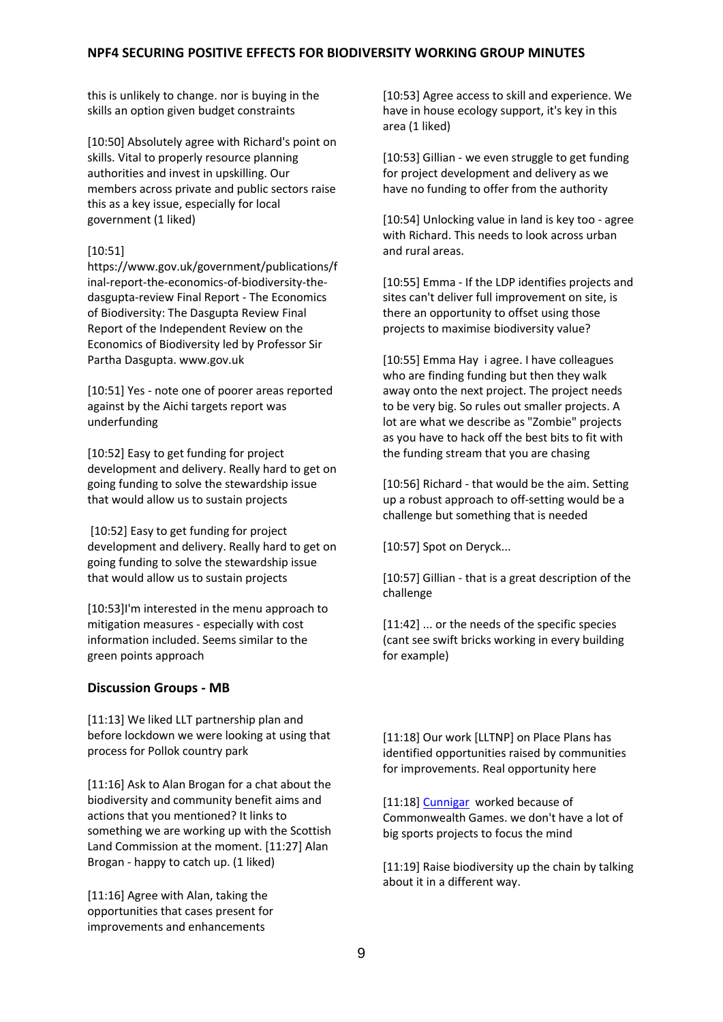this is unlikely to change. nor is buying in the skills an option given budget constraints

[10:50] Absolutely agree with Richard's point on skills. Vital to properly resource planning authorities and invest in upskilling. Our members across private and public sectors raise this as a key issue, especially for local government (1 liked)

#### [10:51]

[https://www.gov.uk/government/publications/f](https://www.gov.uk/government/publications/final-report-the-economics-of-biodiversity-the-dasgupta-review) [inal-report-the-economics-of-biodiversity-the](https://www.gov.uk/government/publications/final-report-the-economics-of-biodiversity-the-dasgupta-review)[dasgupta-review](https://www.gov.uk/government/publications/final-report-the-economics-of-biodiversity-the-dasgupta-review) Final Report - The Economics of Biodiversity: The Dasgupta Review Final Report of the Independent Review on the Economics of Biodiversity led by Professor Sir Partha Dasgupta. [www.gov.uk](http://www.gov.uk/)

[10:51] Yes - note one of poorer areas reported against by the Aichi targets report was underfunding

[10:52] Easy to get funding for project development and delivery. Really hard to get on going funding to solve the stewardship issue that would allow us to sustain projects

[10:52] Easy to get funding for project development and delivery. Really hard to get on going funding to solve the stewardship issue that would allow us to sustain projects

[10:53]I'm interested in the menu approach to mitigation measures - especially with cost information included. Seems similar to the green points approach

#### **Discussion Groups - MB**

[11:13] We liked LLT partnership plan and before lockdown we were looking at using that process for Pollok country park

[11:16] Ask to Alan Brogan for a chat about the biodiversity and community benefit aims and actions that you mentioned? It links to something we are working up with the Scottish Land Commission at the moment. [11:27] Alan Brogan - happy to catch up. (1 liked)

[11:16] Agree with Alan, taking the opportunities that cases present for improvements and enhancements

[10:53] Agree access to skill and experience. We have in house ecology support, it's key in this area (1 liked)

[10:53] Gillian - we even struggle to get funding for project development and delivery as we have no funding to offer from the authority

[10:54] Unlocking value in land is key too - agree with Richard. This needs to look across urban and rural areas.

[10:55] Emma - If the LDP identifies projects and sites can't deliver full improvement on site, is there an opportunity to offset using those projects to maximise biodiversity value?

[10:55] Emma Hay i agree. I have colleagues who are finding funding but then they walk away onto the next project. The project needs to be very big. So rules out smaller projects. A lot are what we describe as "Zombie" projects as you have to hack off the best bits to fit with the funding stream that you are chasing

[10:56] Richard - that would be the aim. Setting up a robust approach to off-setting would be a challenge but something that is needed

[10:57] Spot on Deryck...

[10:57] Gillian - that is a great description of the challenge

[11:42] ... or the needs of the specific species (cant see swift bricks working in every building for example)

[11:18] Our work [LLTNP] on Place Plans has identified opportunities raised by communities for improvements. Real opportunity here

[11:18] [Cunnigar](https://www.visitscotland.com/info/see-do/cuningar-loop-woodland-park-p1498501) worked because of Commonwealth Games. we don't have a lot of big sports projects to focus the mind

[11:19] Raise biodiversity up the chain by talking about it in a different way.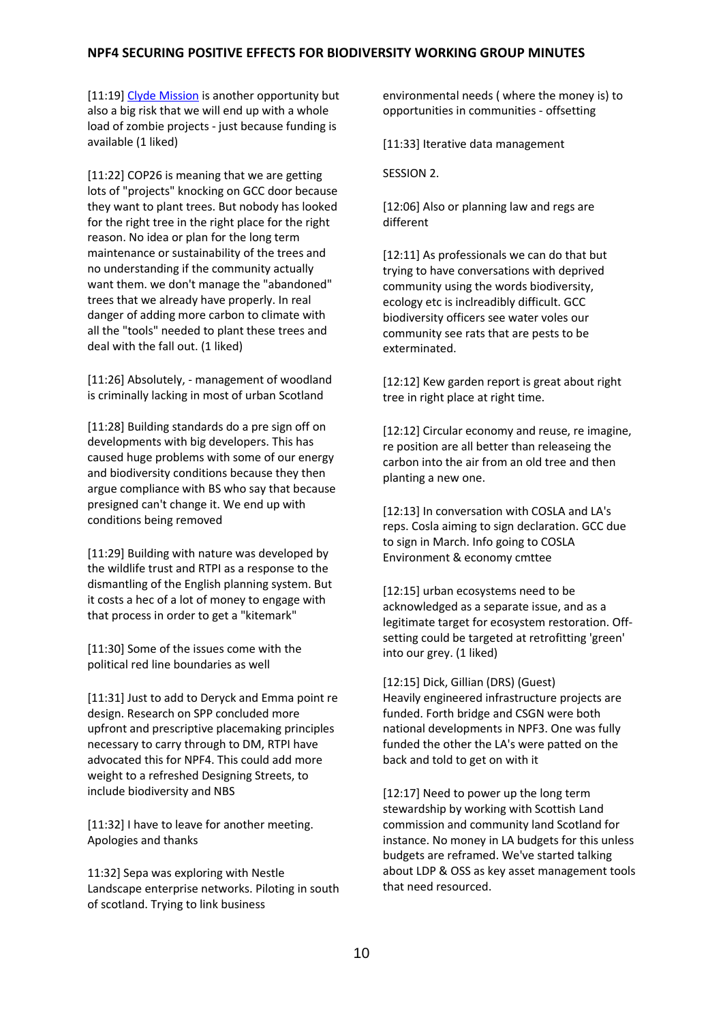[11:19] [Clyde Mission](https://www.gov.scot/publications/clyde-mission/) is another opportunity but also a big risk that we will end up with a whole load of zombie projects - just because funding is available (1 liked)

[11:22] COP26 is meaning that we are getting lots of "projects" knocking on GCC door because they want to plant trees. But nobody has looked for the right tree in the right place for the right reason. No idea or plan for the long term maintenance or sustainability of the trees and no understanding if the community actually want them. we don't manage the "abandoned" trees that we already have properly. In real danger of adding more carbon to climate with all the "tools" needed to plant these trees and deal with the fall out. (1 liked)

[11:26] Absolutely, - management of woodland is criminally lacking in most of urban Scotland

[11:28] Building standards do a pre sign off on developments with big developers. This has caused huge problems with some of our energy and biodiversity conditions because they then argue compliance with BS who say that because presigned can't change it. We end up with conditions being removed

[11:29] Building with nature was developed by the wildlife trust and RTPI as a response to the dismantling of the English planning system. But it costs a hec of a lot of money to engage with that process in order to get a "kitemark"

[11:30] Some of the issues come with the political red line boundaries as well

[11:31] Just to add to Deryck and Emma point re design. Research on SPP concluded more upfront and prescriptive placemaking principles necessary to carry through to DM, RTPI have advocated this for NPF4. This could add more weight to a refreshed Designing Streets, to include biodiversity and NBS

[11:32] I have to leave for another meeting. Apologies and thanks

11:32] Sepa was exploring with Nestle Landscape enterprise networks. Piloting in south of scotland. Trying to link business

environmental needs ( where the money is) to opportunities in communities - offsetting

[11:33] Iterative data management

SESSION 2.

[12:06] Also or planning law and regs are different

[12:11] As professionals we can do that but trying to have conversations with deprived community using the words biodiversity, ecology etc is inclreadibly difficult. GCC biodiversity officers see water voles our community see rats that are pests to be exterminated.

[12:12] Kew garden report is great about right tree in right place at right time.

[12:12] Circular economy and reuse, re imagine, re position are all better than releaseing the carbon into the air from an old tree and then planting a new one.

[12:13] In conversation with COSLA and LA's reps. Cosla aiming to sign declaration. GCC due to sign in March. Info going to COSLA Environment & economy cmttee

[12:15] urban ecosystems need to be acknowledged as a separate issue, and as a legitimate target for ecosystem restoration. Offsetting could be targeted at retrofitting 'green' into our grey. (1 liked)

[12:15] Dick, Gillian (DRS) (Guest) Heavily engineered infrastructure projects are funded. Forth bridge and CSGN were both national developments in NPF3. One was fully funded the other the LA's were patted on the back and told to get on with it

[12:17] Need to power up the long term stewardship by working with Scottish Land commission and community land Scotland for instance. No money in LA budgets for this unless budgets are reframed. We've started talking about LDP & OSS as key asset management tools that need resourced.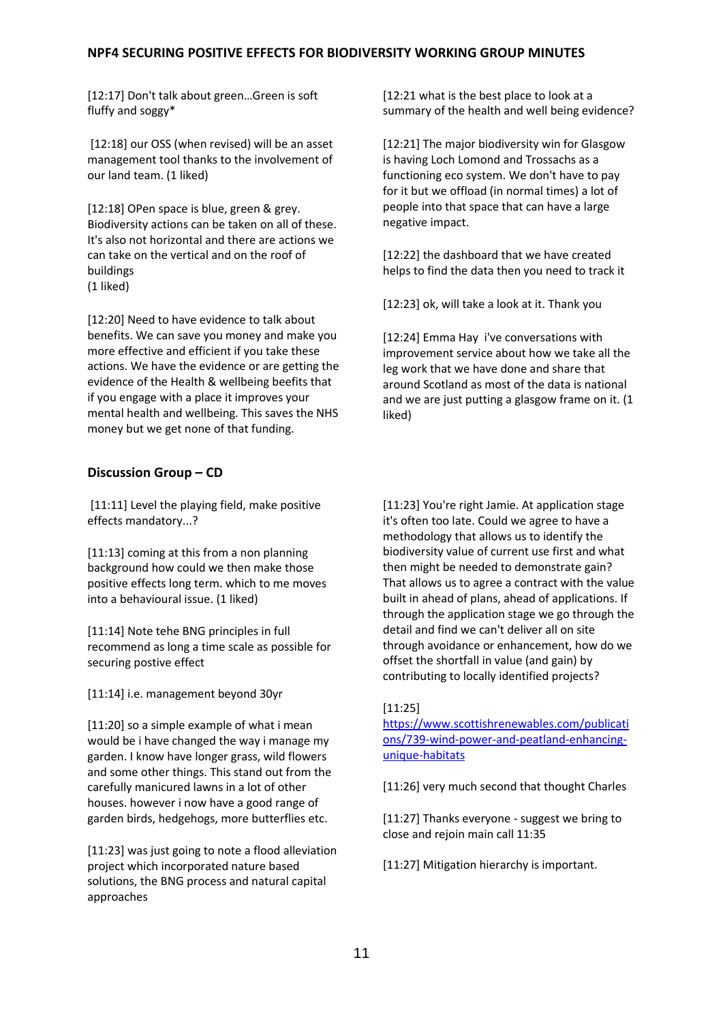[12:17] Don't talk about green…Green is soft fluffy and soggy\*

[12:18] our OSS (when revised) will be an asset management tool thanks to the involvement of our land team. (1 liked)

[12:18] OPen space is blue, green & grey. Biodiversity actions can be taken on all of these. It's also not horizontal and there are actions we can take on the vertical and on the roof of buildings (1 liked)

[12:20] Need to have evidence to talk about benefits. We can save you money and make you more effective and efficient if you take these actions. We have the evidence or are getting the evidence of the Health & wellbeing beefits that if you engage with a place it improves your mental health and wellbeing. This saves the NHS money but we get none of that funding.

#### **Discussion Group – CD**

[11:11] Level the playing field, make positive effects mandatory...?

[11:13] coming at this from a non planning background how could we then make those positive effects long term. which to me moves into a behavioural issue. (1 liked)

[11:14] Note tehe BNG principles in full recommend as long a time scale as possible for securing postive effect

[11:14] i.e. management beyond 30yr

[11:20] so a simple example of what i mean would be i have changed the way i manage my garden. I know have longer grass, wild flowers and some other things. This stand out from the carefully manicured lawns in a lot of other houses. however i now have a good range of garden birds, hedgehogs, more butterflies etc.

[11:23] was just going to note a flood alleviation project which incorporated nature based solutions, the BNG process and natural capital approaches

[12:21 what is the best place to look at a summary of the health and well being evidence?

[12:21] The major biodiversity win for Glasgow is having Loch Lomond and Trossachs as a functioning eco system. We don't have to pay for it but we offload (in normal times) a lot of people into that space that can have a large negative impact.

[12:22] the dashboard that we have created helps to find the data then you need to track it

[12:23] ok, will take a look at it. Thank you

[12:24] Emma Hay i've conversations with improvement service about how we take all the leg work that we have done and share that around Scotland as most of the data is national and we are just putting a glasgow frame on it. (1 liked)

[11:23] You're right Jamie. At application stage it's often too late. Could we agree to have a methodology that allows us to identify the biodiversity value of current use first and what then might be needed to demonstrate gain? That allows us to agree a contract with the value built in ahead of plans, ahead of applications. If through the application stage we go through the detail and find we can't deliver all on site through avoidance or enhancement, how do we offset the shortfall in value (and gain) by contributing to locally identified projects?

#### [11:25]

[https://www.scottishrenewables.com/publicati](mhtml:file://C:/Users/U418123/AppData/Local/Microsoft/Windows/INetCache/Content.Outlook/NF82XKH0/Biodiversity%201st%20working%20group%20m%20(as%20Web%20Page).mht!https://www.scottishrenewables.com/publications/739-wind-power-and-peatland-enhancing-unique-habitats) [ons/739-wind-power-and-peatland-enhancing](mhtml:file://C:/Users/U418123/AppData/Local/Microsoft/Windows/INetCache/Content.Outlook/NF82XKH0/Biodiversity%201st%20working%20group%20m%20(as%20Web%20Page).mht!https://www.scottishrenewables.com/publications/739-wind-power-and-peatland-enhancing-unique-habitats)[unique-habitats](mhtml:file://C:/Users/U418123/AppData/Local/Microsoft/Windows/INetCache/Content.Outlook/NF82XKH0/Biodiversity%201st%20working%20group%20m%20(as%20Web%20Page).mht!https://www.scottishrenewables.com/publications/739-wind-power-and-peatland-enhancing-unique-habitats)

[11:26] very much second that thought Charles

[11:27] Thanks everyone - suggest we bring to close and rejoin main call 11:35

[11:27] Mitigation hierarchy is important.